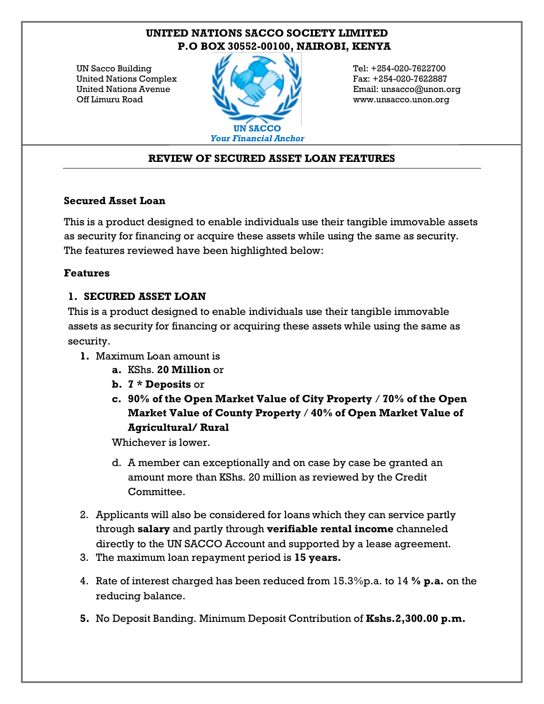# **UNITED NATIONS SACCO SOCIETY LIMITED P.O BOX 30552-00100, NAIROBI, KENYA**

UN Sacco Building United Nations Complex United Nations Avenue Off Limuru Road



Tel: +254-020-7622700 Fax: +254-020-7622887 Email: unsacco@unon.org www.unsacco.unon.org

### **REVIEW OF SECURED ASSET LOAN FEATURES**

#### **Secured Asset Loan**

This is a product designed to enable individuals use their tangible immovable assets as security for financing or acquire these assets while using the same as security. The features reviewed have been highlighted below:

### **Features**

### **1. SECURED ASSET LOAN**

This is a product designed to enable individuals use their tangible immovable assets as security for financing or acquiring these assets while using the same as security.

- **1.** Maximum Loan amount is
	- **a.** KShs. **20 Million** or
	- **b. 7 \* Deposits** or
	- **c. 90% of the Open Market Value of City Property** / **70% of the Open Market Value of County Property** / **40% of Open Market Value of Agricultural/ Rural**

Whichever is lower.

- d. A member can exceptionally and on case by case be granted an amount more than KShs. 20 million as reviewed by the Credit Committee.
- 2. Applicants will also be considered for loans which they can service partly through **salary** and partly through **verifiable rental income** channeled directly to the UN SACCO Account and supported by a lease agreement.
- 3. The maximum loan repayment period is **15 years.**
- 4. Rate of interest charged has been reduced from 15.3%p.a. to 14 **% p.a.** on the reducing balance.
- **5.** No Deposit Banding. Minimum Deposit Contribution of **Kshs.2,300.00 p.m.**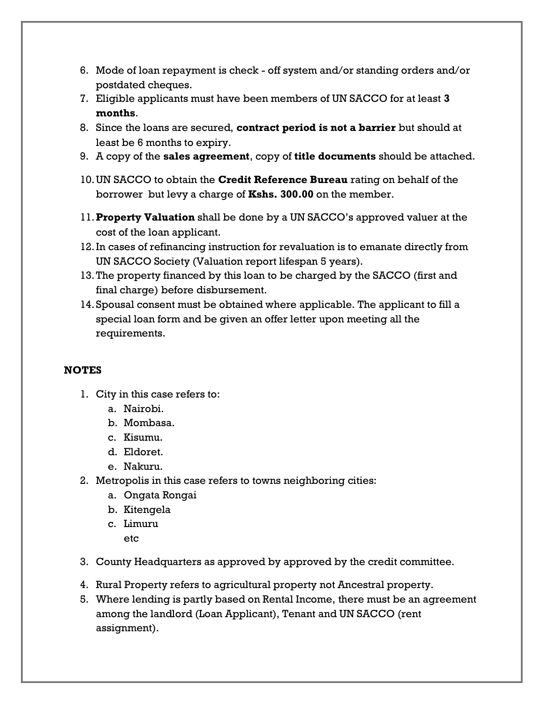- 6. Mode of loan repayment is check off system and/or standing orders and/or postdated cheques.
- 7. Eligible applicants must have been members of UN SACCO for at least **3 months**.
- 8. Since the loans are secured, **contract period is not a barrier** but should at least be 6 months to expiry.
- 9. A copy of the **sales agreement**, copy of **title documents** should be attached.
- 10.UN SACCO to obtain the **Credit Reference Bureau** rating on behalf of the borrower but levy a charge of **Kshs. 300.00** on the member.
- 11.**Property Valuation** shall be done by a UN SACCO's approved valuer at the cost of the loan applicant.
- 12.In cases of refinancing instruction for revaluation is to emanate directly from UN SACCO Society (Valuation report lifespan 5 years).
- 13.The property financed by this loan to be charged by the SACCO (first and final charge) before disbursement.
- 14.Spousal consent must be obtained where applicable. The applicant to fill a special loan form and be given an offer letter upon meeting all the requirements.

## **NOTES**

- 1. City in this case refers to:
	- a. Nairobi.
	- b. Mombasa.
	- c. Kisumu.
	- d. Eldoret.
	- e. Nakuru.
- 2. Metropolis in this case refers to towns neighboring cities:
	- a. Ongata Rongai
	- b. Kitengela
	- c. Limuru
		- etc
- 3. County Headquarters as approved by approved by the credit committee.
- 4. Rural Property refers to agricultural property not Ancestral property.
- 5. Where lending is partly based on Rental Income, there must be an agreement among the landlord (Loan Applicant), Tenant and UN SACCO (rent assignment).